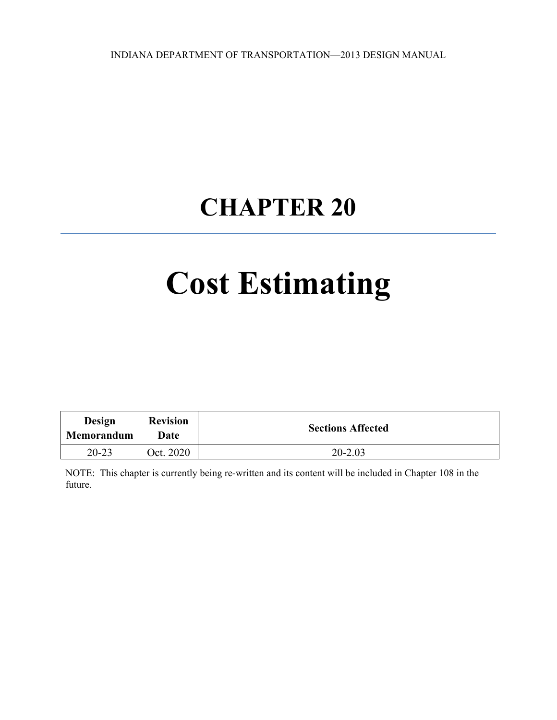INDIANA DEPARTMENT OF TRANSPORTATION—2013 DESIGN MANUAL

## **CHAPTER 20**

# **Cost Estimating**

| Design<br>Memorandum | <b>Revision</b><br>Date | <b>Sections Affected</b> |
|----------------------|-------------------------|--------------------------|
| $20 - 23$            | Oct. 2020               | $20 - 2.03$              |

NOTE: This chapter is currently being re-written and its content will be included in Chapter 108 in the future.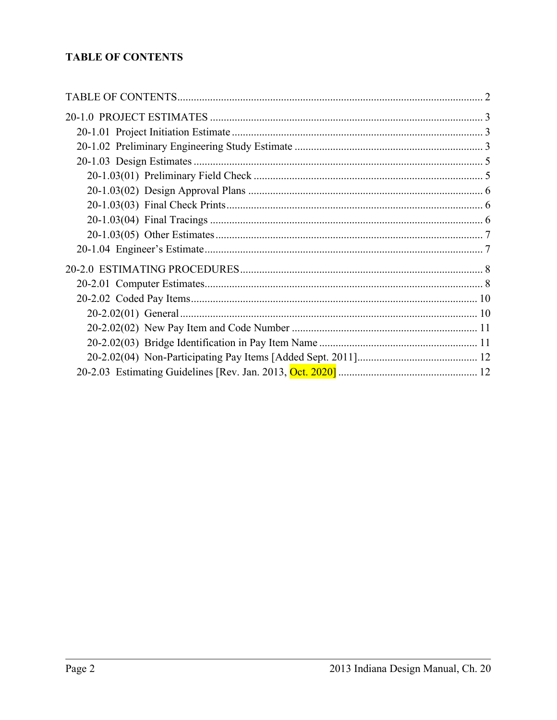#### <span id="page-1-0"></span>**TABLE OF CONTENTS**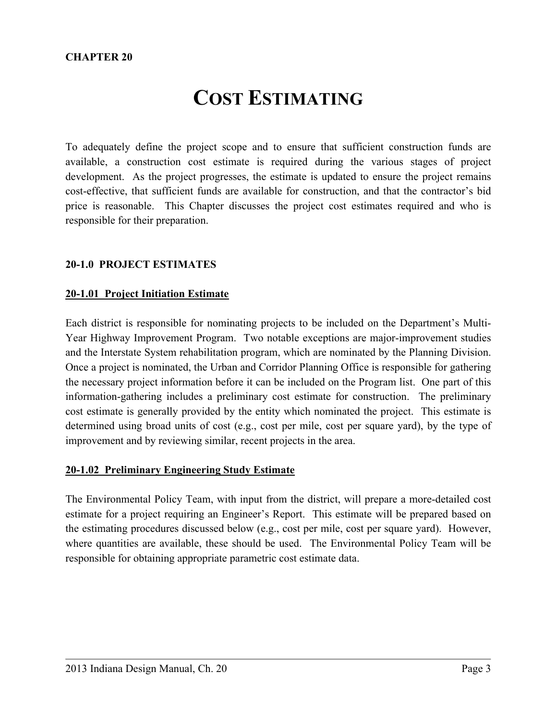### **COST ESTIMATING**

To adequately define the project scope and to ensure that sufficient construction funds are available, a construction cost estimate is required during the various stages of project development. As the project progresses, the estimate is updated to ensure the project remains cost-effective, that sufficient funds are available for construction, and that the contractor's bid price is reasonable. This Chapter discusses the project cost estimates required and who is responsible for their preparation.

#### <span id="page-2-0"></span>**20-1.0 PROJECT ESTIMATES**

#### <span id="page-2-1"></span>**20-1.01 Project Initiation Estimate**

Each district is responsible for nominating projects to be included on the Department's Multi-Year Highway Improvement Program. Two notable exceptions are major-improvement studies and the Interstate System rehabilitation program, which are nominated by the Planning Division. Once a project is nominated, the Urban and Corridor Planning Office is responsible for gathering the necessary project information before it can be included on the Program list. One part of this information-gathering includes a preliminary cost estimate for construction. The preliminary cost estimate is generally provided by the entity which nominated the project. This estimate is determined using broad units of cost (e.g., cost per mile, cost per square yard), by the type of improvement and by reviewing similar, recent projects in the area.

#### <span id="page-2-2"></span>**20-1.02 Preliminary Engineering Study Estimate**

The Environmental Policy Team, with input from the district, will prepare a more-detailed cost estimate for a project requiring an Engineer's Report. This estimate will be prepared based on the estimating procedures discussed below (e.g., cost per mile, cost per square yard). However, where quantities are available, these should be used. The Environmental Policy Team will be responsible for obtaining appropriate parametric cost estimate data.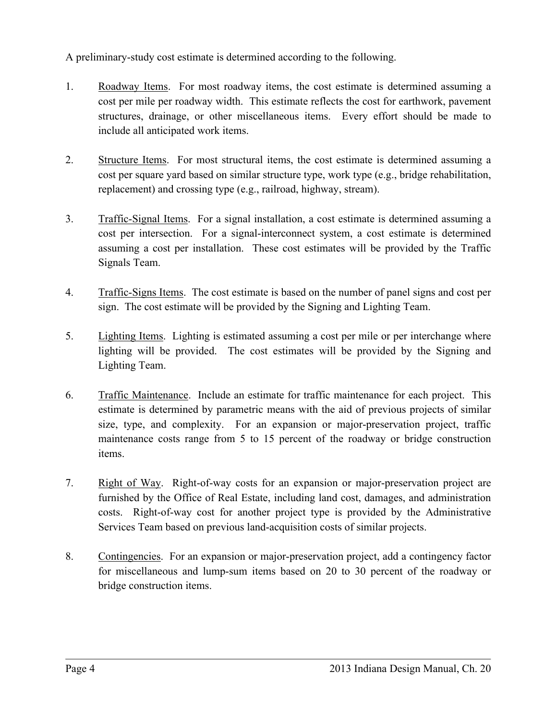A preliminary-study cost estimate is determined according to the following.

- 1. Roadway Items. For most roadway items, the cost estimate is determined assuming a cost per mile per roadway width. This estimate reflects the cost for earthwork, pavement structures, drainage, or other miscellaneous items. Every effort should be made to include all anticipated work items.
- 2. Structure Items. For most structural items, the cost estimate is determined assuming a cost per square yard based on similar structure type, work type (e.g., bridge rehabilitation, replacement) and crossing type (e.g., railroad, highway, stream).
- 3. Traffic-Signal Items. For a signal installation, a cost estimate is determined assuming a cost per intersection. For a signal-interconnect system, a cost estimate is determined assuming a cost per installation. These cost estimates will be provided by the Traffic Signals Team.
- 4. Traffic-Signs Items. The cost estimate is based on the number of panel signs and cost per sign. The cost estimate will be provided by the Signing and Lighting Team.
- 5. Lighting Items. Lighting is estimated assuming a cost per mile or per interchange where lighting will be provided. The cost estimates will be provided by the Signing and Lighting Team.
- 6. Traffic Maintenance. Include an estimate for traffic maintenance for each project. This estimate is determined by parametric means with the aid of previous projects of similar size, type, and complexity. For an expansion or major-preservation project, traffic maintenance costs range from 5 to 15 percent of the roadway or bridge construction items.
- 7. Right of Way. Right-of-way costs for an expansion or major-preservation project are furnished by the Office of Real Estate, including land cost, damages, and administration costs. Right-of-way cost for another project type is provided by the Administrative Services Team based on previous land-acquisition costs of similar projects.
- 8. Contingencies. For an expansion or major-preservation project, add a contingency factor for miscellaneous and lump-sum items based on 20 to 30 percent of the roadway or bridge construction items.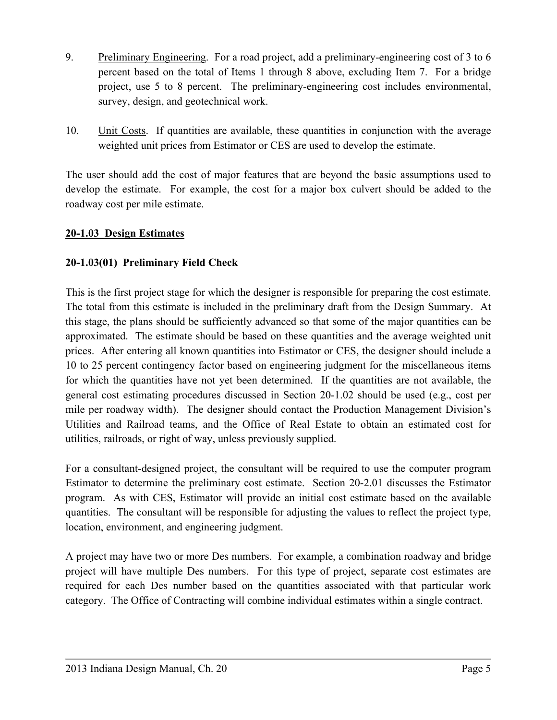- 9. Preliminary Engineering. For a road project, add a preliminary-engineering cost of 3 to 6 percent based on the total of Items 1 through 8 above, excluding Item 7. For a bridge project, use 5 to 8 percent. The preliminary-engineering cost includes environmental, survey, design, and geotechnical work.
- 10. Unit Costs. If quantities are available, these quantities in conjunction with the average weighted unit prices from Estimator or CES are used to develop the estimate.

The user should add the cost of major features that are beyond the basic assumptions used to develop the estimate. For example, the cost for a major box culvert should be added to the roadway cost per mile estimate.

#### <span id="page-4-0"></span>**20-1.03 Design Estimates**

#### <span id="page-4-1"></span>**20-1.03(01) Preliminary Field Check**

This is the first project stage for which the designer is responsible for preparing the cost estimate. The total from this estimate is included in the preliminary draft from the Design Summary. At this stage, the plans should be sufficiently advanced so that some of the major quantities can be approximated. The estimate should be based on these quantities and the average weighted unit prices. After entering all known quantities into Estimator or CES, the designer should include a 10 to 25 percent contingency factor based on engineering judgment for the miscellaneous items for which the quantities have not yet been determined. If the quantities are not available, the general cost estimating procedures discussed in Section 20-1.02 should be used (e.g., cost per mile per roadway width). The designer should contact the Production Management Division's Utilities and Railroad teams, and the Office of Real Estate to obtain an estimated cost for utilities, railroads, or right of way, unless previously supplied.

For a consultant-designed project, the consultant will be required to use the computer program Estimator to determine the preliminary cost estimate. Section 20-2.01 discusses the Estimator program. As with CES, Estimator will provide an initial cost estimate based on the available quantities. The consultant will be responsible for adjusting the values to reflect the project type, location, environment, and engineering judgment.

A project may have two or more Des numbers. For example, a combination roadway and bridge project will have multiple Des numbers. For this type of project, separate cost estimates are required for each Des number based on the quantities associated with that particular work category. The Office of Contracting will combine individual estimates within a single contract.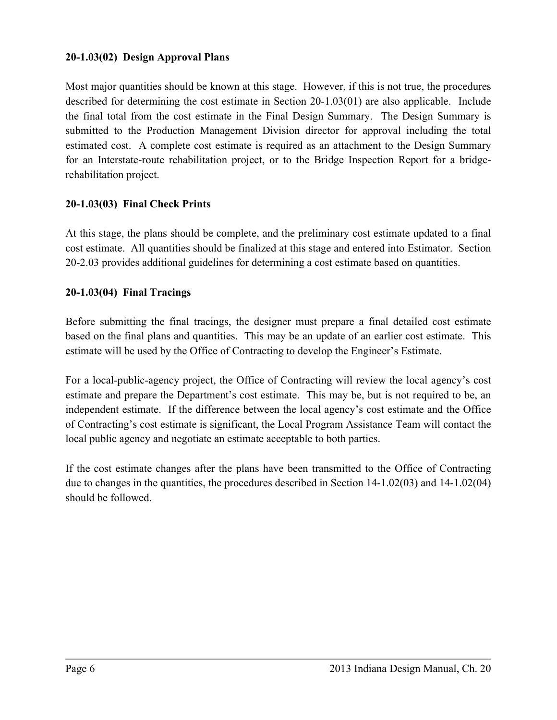#### <span id="page-5-0"></span>**20-1.03(02) Design Approval Plans**

Most major quantities should be known at this stage. However, if this is not true, the procedures described for determining the cost estimate in Section 20-1.03(01) are also applicable. Include the final total from the cost estimate in the Final Design Summary. The Design Summary is submitted to the Production Management Division director for approval including the total estimated cost. A complete cost estimate is required as an attachment to the Design Summary for an Interstate-route rehabilitation project, or to the Bridge Inspection Report for a bridgerehabilitation project.

#### <span id="page-5-1"></span>**20-1.03(03) Final Check Prints**

At this stage, the plans should be complete, and the preliminary cost estimate updated to a final cost estimate. All quantities should be finalized at this stage and entered into Estimator. Section 20-2.03 provides additional guidelines for determining a cost estimate based on quantities.

#### <span id="page-5-2"></span>**20-1.03(04) Final Tracings**

Before submitting the final tracings, the designer must prepare a final detailed cost estimate based on the final plans and quantities. This may be an update of an earlier cost estimate. This estimate will be used by the Office of Contracting to develop the Engineer's Estimate.

For a local-public-agency project, the Office of Contracting will review the local agency's cost estimate and prepare the Department's cost estimate. This may be, but is not required to be, an independent estimate. If the difference between the local agency's cost estimate and the Office of Contracting's cost estimate is significant, the Local Program Assistance Team will contact the local public agency and negotiate an estimate acceptable to both parties.

If the cost estimate changes after the plans have been transmitted to the Office of Contracting due to changes in the quantities, the procedures described in Section 14-1.02(03) and 14-1.02(04) should be followed.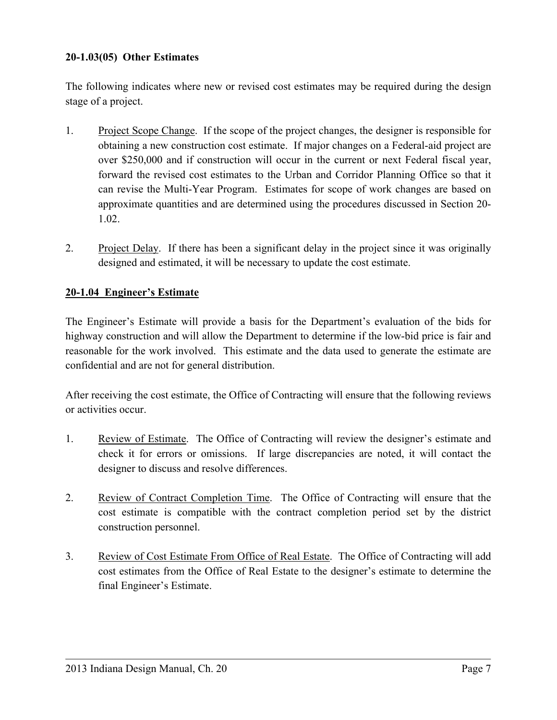#### <span id="page-6-0"></span>**20-1.03(05) Other Estimates**

The following indicates where new or revised cost estimates may be required during the design stage of a project.

- 1. Project Scope Change. If the scope of the project changes, the designer is responsible for obtaining a new construction cost estimate. If major changes on a Federal-aid project are over \$250,000 and if construction will occur in the current or next Federal fiscal year, forward the revised cost estimates to the Urban and Corridor Planning Office so that it can revise the Multi-Year Program. Estimates for scope of work changes are based on approximate quantities and are determined using the procedures discussed in Section 20- 1.02.
- 2. Project Delay. If there has been a significant delay in the project since it was originally designed and estimated, it will be necessary to update the cost estimate.

#### <span id="page-6-1"></span>**20-1.04 Engineer's Estimate**

The Engineer's Estimate will provide a basis for the Department's evaluation of the bids for highway construction and will allow the Department to determine if the low-bid price is fair and reasonable for the work involved. This estimate and the data used to generate the estimate are confidential and are not for general distribution.

After receiving the cost estimate, the Office of Contracting will ensure that the following reviews or activities occur.

- 1. Review of Estimate. The Office of Contracting will review the designer's estimate and check it for errors or omissions. If large discrepancies are noted, it will contact the designer to discuss and resolve differences.
- 2. Review of Contract Completion Time. The Office of Contracting will ensure that the cost estimate is compatible with the contract completion period set by the district construction personnel.
- 3. Review of Cost Estimate From Office of Real Estate. The Office of Contracting will add cost estimates from the Office of Real Estate to the designer's estimate to determine the final Engineer's Estimate.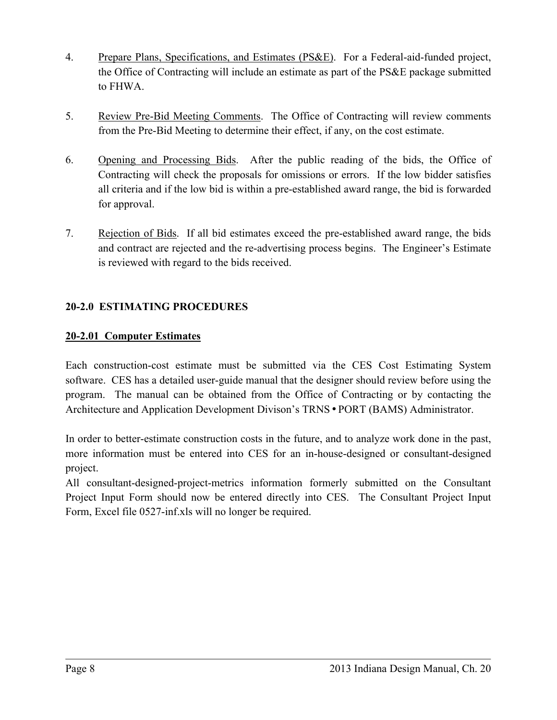- 4. Prepare Plans, Specifications, and Estimates (PS&E). For a Federal-aid-funded project, the Office of Contracting will include an estimate as part of the PS&E package submitted to FHWA.
- 5. Review Pre-Bid Meeting Comments. The Office of Contracting will review comments from the Pre-Bid Meeting to determine their effect, if any, on the cost estimate.
- 6. Opening and Processing Bids. After the public reading of the bids, the Office of Contracting will check the proposals for omissions or errors. If the low bidder satisfies all criteria and if the low bid is within a pre-established award range, the bid is forwarded for approval.
- 7. Rejection of Bids. If all bid estimates exceed the pre-established award range, the bids and contract are rejected and the re-advertising process begins. The Engineer's Estimate is reviewed with regard to the bids received.

#### <span id="page-7-0"></span>**20-2.0 ESTIMATING PROCEDURES**

#### <span id="page-7-1"></span>**20-2.01 Computer Estimates**

Each construction-cost estimate must be submitted via the CES Cost Estimating System software. CES has a detailed user-guide manual that the designer should review before using the program. The manual can be obtained from the Office of Contracting or by contacting the Architecture and Application Development Divison's TRNS • PORT (BAMS) Administrator.

In order to better-estimate construction costs in the future, and to analyze work done in the past, more information must be entered into CES for an in-house-designed or consultant-designed project.

All consultant-designed-project-metrics information formerly submitted on the Consultant Project Input Form should now be entered directly into CES. The Consultant Project Input Form, Excel file 0527-inf.xls will no longer be required.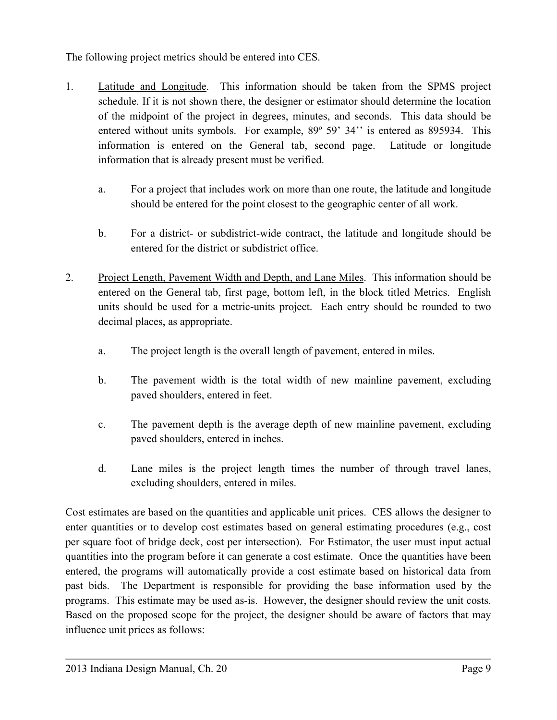The following project metrics should be entered into CES.

- 1. Latitude and Longitude. This information should be taken from the SPMS project schedule. If it is not shown there, the designer or estimator should determine the location of the midpoint of the project in degrees, minutes, and seconds. This data should be entered without units symbols. For example, 89º 59' 34'' is entered as 895934. This information is entered on the General tab, second page. Latitude or longitude information that is already present must be verified.
	- a. For a project that includes work on more than one route, the latitude and longitude should be entered for the point closest to the geographic center of all work.
	- b. For a district- or subdistrict-wide contract, the latitude and longitude should be entered for the district or subdistrict office.
- 2. Project Length, Pavement Width and Depth, and Lane Miles. This information should be entered on the General tab, first page, bottom left, in the block titled Metrics. English units should be used for a metric-units project. Each entry should be rounded to two decimal places, as appropriate.
	- a. The project length is the overall length of pavement, entered in miles.
	- b. The pavement width is the total width of new mainline pavement, excluding paved shoulders, entered in feet.
	- c. The pavement depth is the average depth of new mainline pavement, excluding paved shoulders, entered in inches.
	- d. Lane miles is the project length times the number of through travel lanes, excluding shoulders, entered in miles.

Cost estimates are based on the quantities and applicable unit prices. CES allows the designer to enter quantities or to develop cost estimates based on general estimating procedures (e.g., cost per square foot of bridge deck, cost per intersection). For Estimator, the user must input actual quantities into the program before it can generate a cost estimate. Once the quantities have been entered, the programs will automatically provide a cost estimate based on historical data from past bids. The Department is responsible for providing the base information used by the programs. This estimate may be used as-is. However, the designer should review the unit costs. Based on the proposed scope for the project, the designer should be aware of factors that may influence unit prices as follows: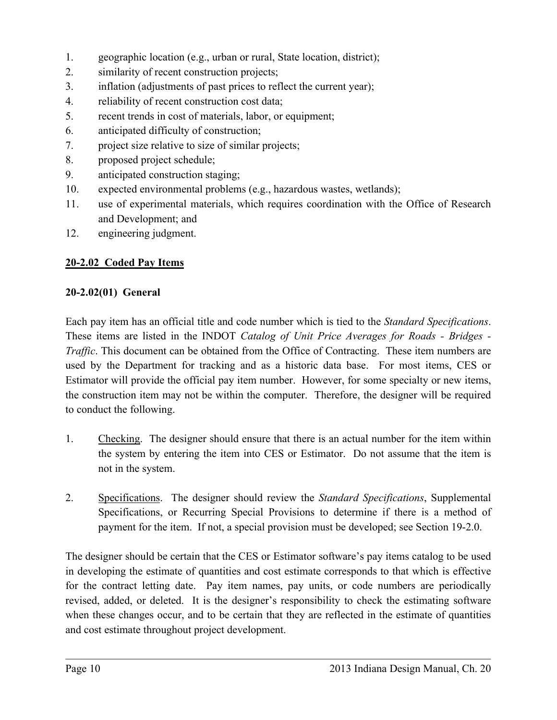- 1. geographic location (e.g., urban or rural, State location, district);
- 2. similarity of recent construction projects;
- 3. inflation (adjustments of past prices to reflect the current year);
- 4. reliability of recent construction cost data;
- 5. recent trends in cost of materials, labor, or equipment;
- 6. anticipated difficulty of construction;
- 7. project size relative to size of similar projects;
- 8. proposed project schedule;
- 9. anticipated construction staging;
- 10. expected environmental problems (e.g., hazardous wastes, wetlands);
- 11. use of experimental materials, which requires coordination with the Office of Research and Development; and
- 12. engineering judgment.

#### <span id="page-9-0"></span>**20-2.02 Coded Pay Items**

#### <span id="page-9-1"></span>**20-2.02(01) General**

Each pay item has an official title and code number which is tied to the *Standard Specifications*. These items are listed in the INDOT *Catalog of Unit Price Averages for Roads - Bridges - Traffic*. This document can be obtained from the Office of Contracting. These item numbers are used by the Department for tracking and as a historic data base. For most items, CES or Estimator will provide the official pay item number. However, for some specialty or new items, the construction item may not be within the computer. Therefore, the designer will be required to conduct the following.

- 1. Checking. The designer should ensure that there is an actual number for the item within the system by entering the item into CES or Estimator. Do not assume that the item is not in the system.
- 2. Specifications. The designer should review the *Standard Specifications*, Supplemental Specifications, or Recurring Special Provisions to determine if there is a method of payment for the item. If not, a special provision must be developed; see Section 19-2.0.

The designer should be certain that the CES or Estimator software's pay items catalog to be used in developing the estimate of quantities and cost estimate corresponds to that which is effective for the contract letting date. Pay item names, pay units, or code numbers are periodically revised, added, or deleted. It is the designer's responsibility to check the estimating software when these changes occur, and to be certain that they are reflected in the estimate of quantities and cost estimate throughout project development.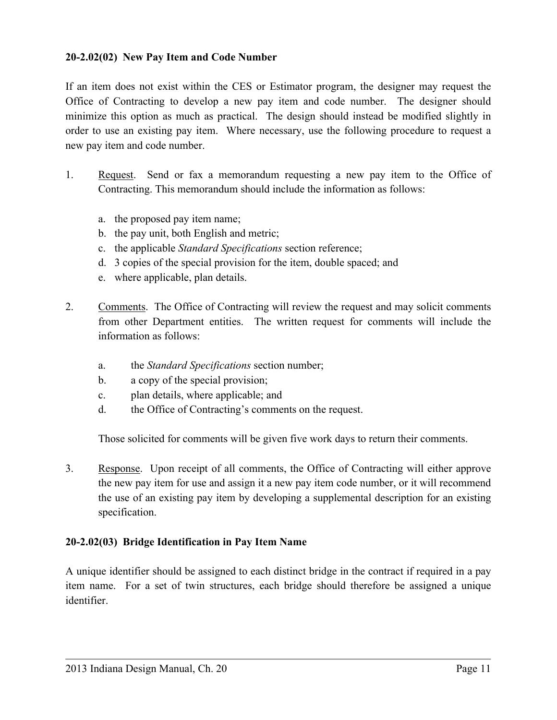#### <span id="page-10-0"></span>**20-2.02(02) New Pay Item and Code Number**

If an item does not exist within the CES or Estimator program, the designer may request the Office of Contracting to develop a new pay item and code number. The designer should minimize this option as much as practical. The design should instead be modified slightly in order to use an existing pay item. Where necessary, use the following procedure to request a new pay item and code number.

- 1. Request. Send or fax a memorandum requesting a new pay item to the Office of Contracting. This memorandum should include the information as follows:
	- a. the proposed pay item name;
	- b. the pay unit, both English and metric;
	- c. the applicable *Standard Specifications* section reference;
	- d. 3 copies of the special provision for the item, double spaced; and
	- e. where applicable, plan details.
- 2. Comments. The Office of Contracting will review the request and may solicit comments from other Department entities. The written request for comments will include the information as follows:
	- a. the *Standard Specifications* section number;
	- b. a copy of the special provision;
	- c. plan details, where applicable; and
	- d. the Office of Contracting's comments on the request.

Those solicited for comments will be given five work days to return their comments.

3. Response. Upon receipt of all comments, the Office of Contracting will either approve the new pay item for use and assign it a new pay item code number, or it will recommend the use of an existing pay item by developing a supplemental description for an existing specification.

#### <span id="page-10-1"></span>**20-2.02(03) Bridge Identification in Pay Item Name**

A unique identifier should be assigned to each distinct bridge in the contract if required in a pay item name. For a set of twin structures, each bridge should therefore be assigned a unique identifier.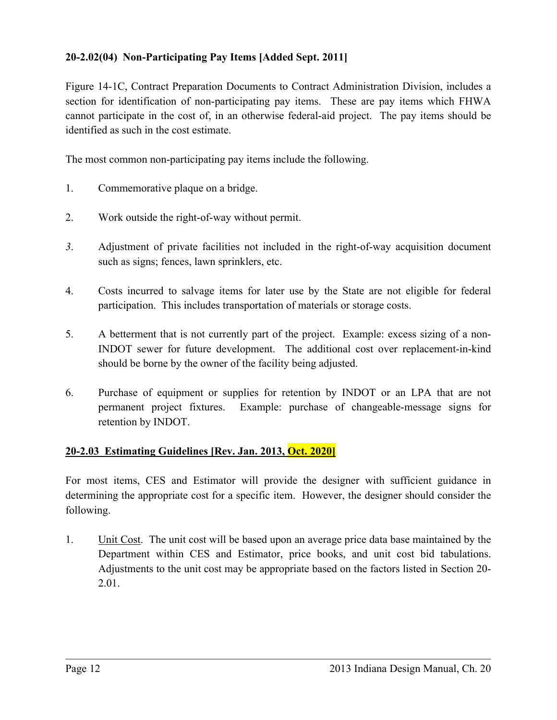#### <span id="page-11-0"></span>**20-2.02(04) Non-Participating Pay Items [Added Sept. 2011]**

Figure 14-1C, Contract Preparation Documents to Contract Administration Division, includes a section for identification of non-participating pay items. These are pay items which FHWA cannot participate in the cost of, in an otherwise federal-aid project. The pay items should be identified as such in the cost estimate.

The most common non-participating pay items include the following.

- 1. Commemorative plaque on a bridge.
- 2. Work outside the right-of-way without permit.
- *3*. Adjustment of private facilities not included in the right-of-way acquisition document such as signs; fences, lawn sprinklers, etc.
- 4. Costs incurred to salvage items for later use by the State are not eligible for federal participation. This includes transportation of materials or storage costs.
- 5. A betterment that is not currently part of the project. Example: excess sizing of a non-INDOT sewer for future development. The additional cost over replacement-in-kind should be borne by the owner of the facility being adjusted.
- 6. Purchase of equipment or supplies for retention by INDOT or an LPA that are not permanent project fixtures. Example: purchase of changeable-message signs for retention by INDOT.

#### <span id="page-11-1"></span>**20-2.03 Estimating Guidelines [Rev. Jan. 2013, Oct. 2020]**

For most items, CES and Estimator will provide the designer with sufficient guidance in determining the appropriate cost for a specific item. However, the designer should consider the following.

1. Unit Cost. The unit cost will be based upon an average price data base maintained by the Department within CES and Estimator, price books, and unit cost bid tabulations. Adjustments to the unit cost may be appropriate based on the factors listed in Section 20- 2.01.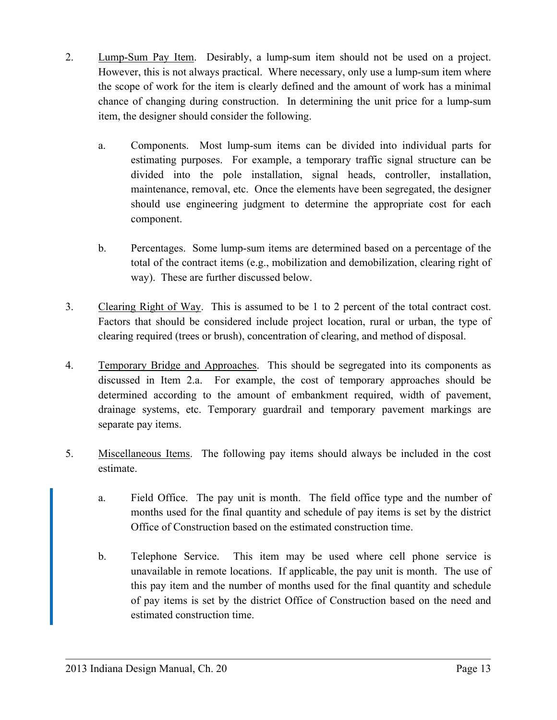- 2. Lump-Sum Pay Item. Desirably, a lump-sum item should not be used on a project. However, this is not always practical. Where necessary, only use a lump-sum item where the scope of work for the item is clearly defined and the amount of work has a minimal chance of changing during construction. In determining the unit price for a lump-sum item, the designer should consider the following.
	- a. Components. Most lump-sum items can be divided into individual parts for estimating purposes. For example, a temporary traffic signal structure can be divided into the pole installation, signal heads, controller, installation, maintenance, removal, etc. Once the elements have been segregated, the designer should use engineering judgment to determine the appropriate cost for each component.
	- b. Percentages. Some lump-sum items are determined based on a percentage of the total of the contract items (e.g., mobilization and demobilization, clearing right of way). These are further discussed below.
- 3. Clearing Right of Way. This is assumed to be 1 to 2 percent of the total contract cost. Factors that should be considered include project location, rural or urban, the type of clearing required (trees or brush), concentration of clearing, and method of disposal.
- 4. Temporary Bridge and Approaches. This should be segregated into its components as discussed in Item 2.a. For example, the cost of temporary approaches should be determined according to the amount of embankment required, width of pavement, drainage systems, etc. Temporary guardrail and temporary pavement markings are separate pay items.
- 5. Miscellaneous Items. The following pay items should always be included in the cost estimate.
	- a. Field Office. The pay unit is month. The field office type and the number of months used for the final quantity and schedule of pay items is set by the district Office of Construction based on the estimated construction time.
	- b. Telephone Service. This item may be used where cell phone service is unavailable in remote locations. If applicable, the pay unit is month. The use of this pay item and the number of months used for the final quantity and schedule of pay items is set by the district Office of Construction based on the need and estimated construction time.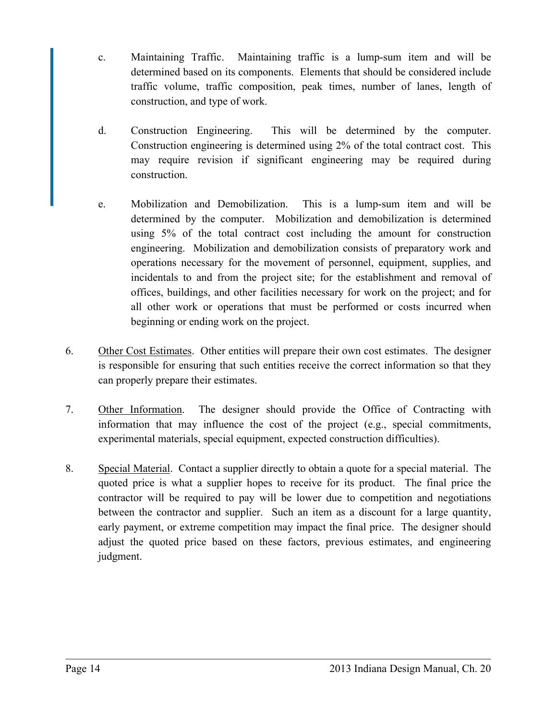- c. Maintaining Traffic. Maintaining traffic is a lump-sum item and will be determined based on its components. Elements that should be considered include traffic volume, traffic composition, peak times, number of lanes, length of construction, and type of work.
- d. Construction Engineering. This will be determined by the computer. Construction engineering is determined using 2% of the total contract cost. This may require revision if significant engineering may be required during construction.
- e. Mobilization and Demobilization. This is a lump-sum item and will be determined by the computer. Mobilization and demobilization is determined using 5% of the total contract cost including the amount for construction engineering. Mobilization and demobilization consists of preparatory work and operations necessary for the movement of personnel, equipment, supplies, and incidentals to and from the project site; for the establishment and removal of offices, buildings, and other facilities necessary for work on the project; and for all other work or operations that must be performed or costs incurred when beginning or ending work on the project.
- 6. Other Cost Estimates. Other entities will prepare their own cost estimates. The designer is responsible for ensuring that such entities receive the correct information so that they can properly prepare their estimates.
- 7. Other Information. The designer should provide the Office of Contracting with information that may influence the cost of the project (e.g., special commitments, experimental materials, special equipment, expected construction difficulties).
- 8. Special Material. Contact a supplier directly to obtain a quote for a special material. The quoted price is what a supplier hopes to receive for its product. The final price the contractor will be required to pay will be lower due to competition and negotiations between the contractor and supplier. Such an item as a discount for a large quantity, early payment, or extreme competition may impact the final price. The designer should adjust the quoted price based on these factors, previous estimates, and engineering judgment.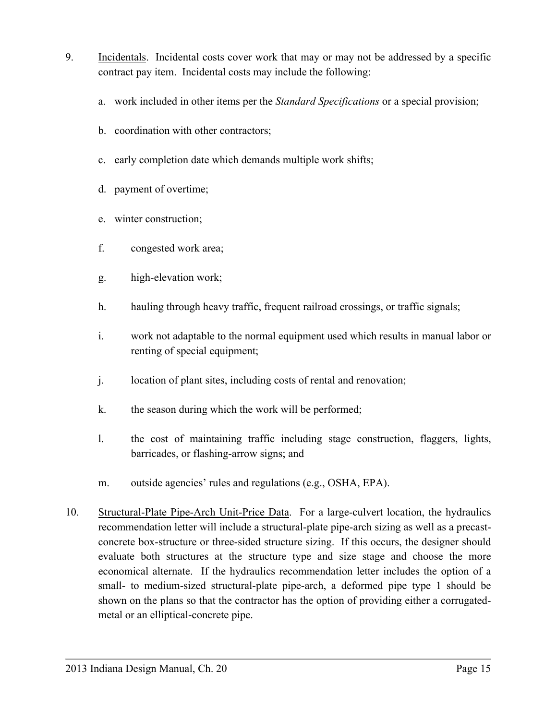- 9. Incidentals. Incidental costs cover work that may or may not be addressed by a specific contract pay item. Incidental costs may include the following:
	- a. work included in other items per the *Standard Specifications* or a special provision;
	- b. coordination with other contractors;
	- c. early completion date which demands multiple work shifts;
	- d. payment of overtime;
	- e. winter construction;
	- f. congested work area;
	- g. high-elevation work;
	- h. hauling through heavy traffic, frequent railroad crossings, or traffic signals;
	- i. work not adaptable to the normal equipment used which results in manual labor or renting of special equipment;
	- j. location of plant sites, including costs of rental and renovation;
	- k. the season during which the work will be performed;
	- l. the cost of maintaining traffic including stage construction, flaggers, lights, barricades, or flashing-arrow signs; and
	- m. outside agencies' rules and regulations (e.g., OSHA, EPA).
- 10. Structural-Plate Pipe-Arch Unit-Price Data. For a large-culvert location, the hydraulics recommendation letter will include a structural-plate pipe-arch sizing as well as a precastconcrete box-structure or three-sided structure sizing. If this occurs, the designer should evaluate both structures at the structure type and size stage and choose the more economical alternate. If the hydraulics recommendation letter includes the option of a small- to medium-sized structural-plate pipe-arch, a deformed pipe type 1 should be shown on the plans so that the contractor has the option of providing either a corrugatedmetal or an elliptical-concrete pipe.